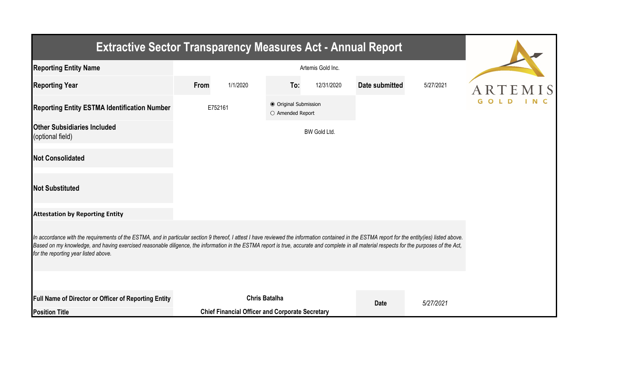| <b>Extractive Sector Transparency Measures Act - Annual Report</b>                                                                                                                                                                                                                                                                                                                                                                    |         |                                                        |                                           |              |                |           |  |
|---------------------------------------------------------------------------------------------------------------------------------------------------------------------------------------------------------------------------------------------------------------------------------------------------------------------------------------------------------------------------------------------------------------------------------------|---------|--------------------------------------------------------|-------------------------------------------|--------------|----------------|-----------|--|
| <b>Reporting Entity Name</b>                                                                                                                                                                                                                                                                                                                                                                                                          |         |                                                        |                                           |              |                |           |  |
| <b>Reporting Year</b>                                                                                                                                                                                                                                                                                                                                                                                                                 | From    | 1/1/2020                                               | To:                                       | 12/31/2020   | Date submitted | 5/27/2021 |  |
| <b>Reporting Entity ESTMA Identification Number</b>                                                                                                                                                                                                                                                                                                                                                                                   | E752161 |                                                        | ● Original Submission<br>O Amended Report |              |                |           |  |
| <b>Other Subsidiaries Included</b><br>(optional field)                                                                                                                                                                                                                                                                                                                                                                                |         |                                                        |                                           | BW Gold Ltd. |                |           |  |
| <b>Not Consolidated</b>                                                                                                                                                                                                                                                                                                                                                                                                               |         |                                                        |                                           |              |                |           |  |
| <b>Not Substituted</b>                                                                                                                                                                                                                                                                                                                                                                                                                |         |                                                        |                                           |              |                |           |  |
| <b>Attestation by Reporting Entity</b>                                                                                                                                                                                                                                                                                                                                                                                                |         |                                                        |                                           |              |                |           |  |
| In accordance with the requirements of the ESTMA, and in particular section 9 thereof, I attest I have reviewed the information contained in the ESTMA report for the entity(ies) listed above.<br>Based on my knowledge, and having exercised reasonable diligence, the information in the ESTMA report is true, accurate and complete in all material respects for the purposes of the Act,<br>for the reporting year listed above. |         |                                                        |                                           |              |                |           |  |
|                                                                                                                                                                                                                                                                                                                                                                                                                                       |         |                                                        |                                           |              |                |           |  |
| Full Name of Director or Officer of Reporting Entity                                                                                                                                                                                                                                                                                                                                                                                  |         |                                                        | <b>Chris Batalha</b>                      |              | <b>Date</b>    | 5/27/2021 |  |
| <b>Position Title</b>                                                                                                                                                                                                                                                                                                                                                                                                                 |         | <b>Chief Financial Officer and Corporate Secretary</b> |                                           |              |                |           |  |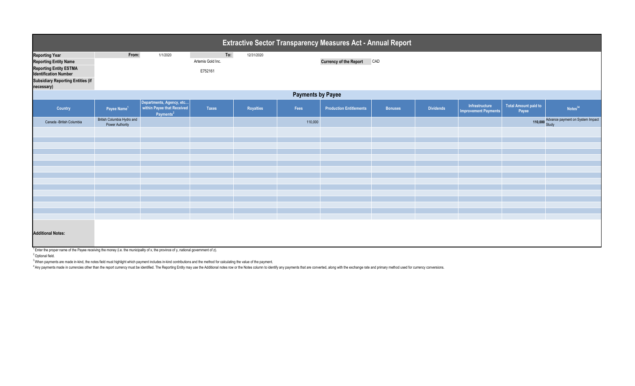|                                                                                                                                                                            |                                               |                                                                                 |                                     |            |         | Extractive Sector Transparency Measures Act - Annual Report |                |                  |                                                      |                                      |                                          |  |
|----------------------------------------------------------------------------------------------------------------------------------------------------------------------------|-----------------------------------------------|---------------------------------------------------------------------------------|-------------------------------------|------------|---------|-------------------------------------------------------------|----------------|------------------|------------------------------------------------------|--------------------------------------|------------------------------------------|--|
| <b>Reporting Year</b><br><b>Reporting Entity Name</b><br><b>Reporting Entity ESTMA</b><br><b>Identification Number</b><br><b>Subsidiary Reporting Entities (if</b>         | From:                                         | 1/1/2020                                                                        | To:<br>Artemis Gold Inc.<br>E752161 | 12/31/2020 |         | <b>Currency of the Report</b>                               | CAD            |                  |                                                      |                                      |                                          |  |
| necessary)                                                                                                                                                                 | <b>Payments by Payee</b>                      |                                                                                 |                                     |            |         |                                                             |                |                  |                                                      |                                      |                                          |  |
| Country                                                                                                                                                                    | Payee Name <sup>1</sup>                       | Departments, Agency, etc<br>within Payee that Received<br>Payments <sup>2</sup> | <b>Taxes</b>                        | Royalties  | Fees    | <b>Production Entitlements</b>                              | <b>Bonuses</b> | <b>Dividends</b> | <b>Infrastructure</b><br><b>Improvement Payments</b> | <b>Total Amount paid to</b><br>Payee | Notes <sup>34</sup>                      |  |
| Canada - British Columbia                                                                                                                                                  | British Columbia Hydro and<br>Power Authority |                                                                                 |                                     |            | 110,000 |                                                             |                |                  |                                                      |                                      | 110,000 Advance payment on System Impact |  |
|                                                                                                                                                                            |                                               |                                                                                 |                                     |            |         |                                                             |                |                  |                                                      |                                      |                                          |  |
|                                                                                                                                                                            |                                               |                                                                                 |                                     |            |         |                                                             |                |                  |                                                      |                                      |                                          |  |
|                                                                                                                                                                            |                                               |                                                                                 |                                     |            |         |                                                             |                |                  |                                                      |                                      |                                          |  |
|                                                                                                                                                                            |                                               |                                                                                 |                                     |            |         |                                                             |                |                  |                                                      |                                      |                                          |  |
|                                                                                                                                                                            |                                               |                                                                                 |                                     |            |         |                                                             |                |                  |                                                      |                                      |                                          |  |
|                                                                                                                                                                            |                                               |                                                                                 |                                     |            |         |                                                             |                |                  |                                                      |                                      |                                          |  |
|                                                                                                                                                                            |                                               |                                                                                 |                                     |            |         |                                                             |                |                  |                                                      |                                      |                                          |  |
|                                                                                                                                                                            |                                               |                                                                                 |                                     |            |         |                                                             |                |                  |                                                      |                                      |                                          |  |
|                                                                                                                                                                            |                                               |                                                                                 |                                     |            |         |                                                             |                |                  |                                                      |                                      |                                          |  |
|                                                                                                                                                                            |                                               |                                                                                 |                                     |            |         |                                                             |                |                  |                                                      |                                      |                                          |  |
| <b>Additional Notes:</b><br><sup>1</sup> Enter the proper name of the Payee receiving the money (i.e. the municipality of x, the province of y, national government of z). |                                               |                                                                                 |                                     |            |         |                                                             |                |                  |                                                      |                                      |                                          |  |

<sup>2</sup> Optional field.

<sup>3</sup> When payments are made in-kind, the notes field must highlight which payment includes in-kind contributions and the method for calculating the value of the payment.

4 Any payments made in currencies other than the report currency must be identified. The Reporting Entity may use the Additional notes row or the Notes column to identify any payments that are converted, along with the exc